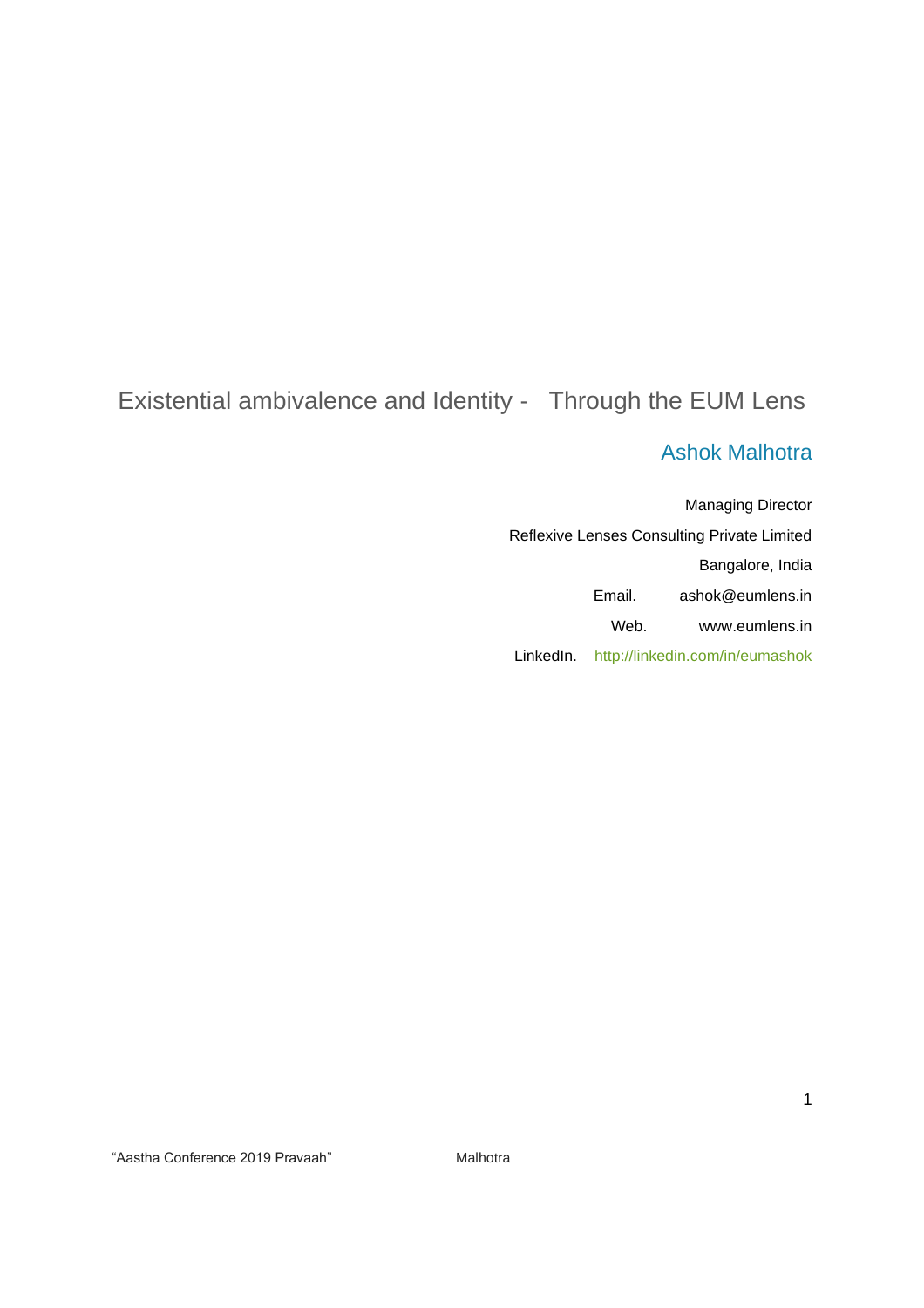# Existential ambivalence and Identity - Through the EUM Lens

# Ashok Malhotra

Managing Director Reflexive Lenses Consulting Private Limited Bangalore, India Email. ashok@eumlens.in Web. www.eumlens.in LinkedIn. <http://linkedin.com/in/eumashok>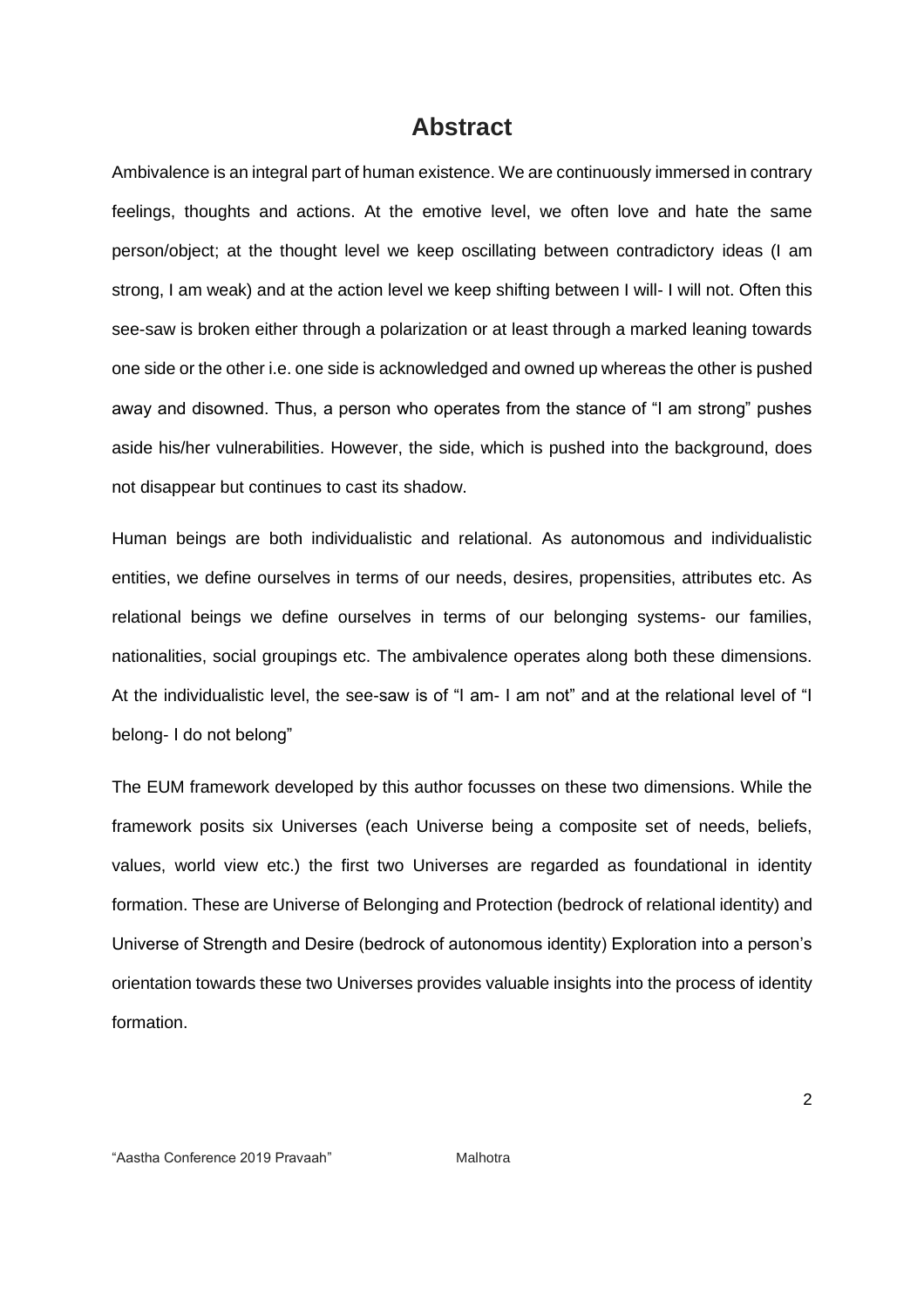# **Abstract**

Ambivalence is an integral part of human existence. We are continuously immersed in contrary feelings, thoughts and actions. At the emotive level, we often love and hate the same person/object; at the thought level we keep oscillating between contradictory ideas (I am strong, I am weak) and at the action level we keep shifting between I will- I will not. Often this see-saw is broken either through a polarization or at least through a marked leaning towards one side or the other i.e. one side is acknowledged and owned up whereas the other is pushed away and disowned. Thus, a person who operates from the stance of "I am strong" pushes aside his/her vulnerabilities. However, the side, which is pushed into the background, does not disappear but continues to cast its shadow.

Human beings are both individualistic and relational. As autonomous and individualistic entities, we define ourselves in terms of our needs, desires, propensities, attributes etc. As relational beings we define ourselves in terms of our belonging systems- our families, nationalities, social groupings etc. The ambivalence operates along both these dimensions. At the individualistic level, the see-saw is of "I am- I am not" and at the relational level of "I belong- I do not belong"

The EUM framework developed by this author focusses on these two dimensions. While the framework posits six Universes (each Universe being a composite set of needs, beliefs, values, world view etc.) the first two Universes are regarded as foundational in identity formation. These are Universe of Belonging and Protection (bedrock of relational identity) and Universe of Strength and Desire (bedrock of autonomous identity) Exploration into a person's orientation towards these two Universes provides valuable insights into the process of identity formation.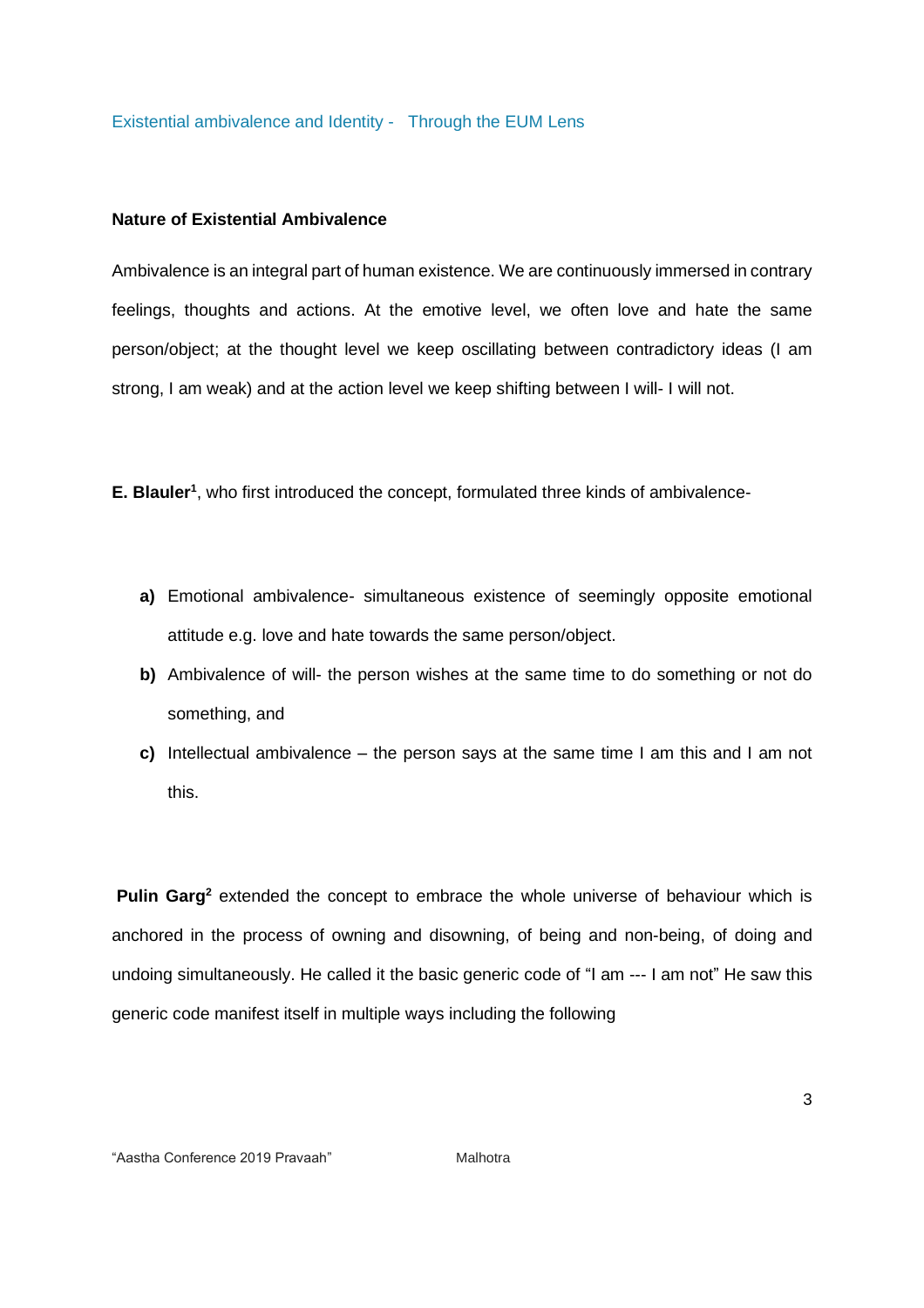Existential ambivalence and Identity - Through the EUM Lens

#### **Nature of Existential Ambivalence**

Ambivalence is an integral part of human existence. We are continuously immersed in contrary feelings, thoughts and actions. At the emotive level, we often love and hate the same person/object; at the thought level we keep oscillating between contradictory ideas (I am strong, I am weak) and at the action level we keep shifting between I will- I will not.

**E. Blauler<sup>1</sup>** , who first introduced the concept, formulated three kinds of ambivalence-

- **a)** Emotional ambivalence- simultaneous existence of seemingly opposite emotional attitude e.g. love and hate towards the same person/object.
- **b)** Ambivalence of will- the person wishes at the same time to do something or not do something, and
- **c)** Intellectual ambivalence the person says at the same time I am this and I am not this.

**Pulin Garg<sup>2</sup>** extended the concept to embrace the whole universe of behaviour which is anchored in the process of owning and disowning, of being and non-being, of doing and undoing simultaneously. He called it the basic generic code of "I am --- I am not" He saw this generic code manifest itself in multiple ways including the following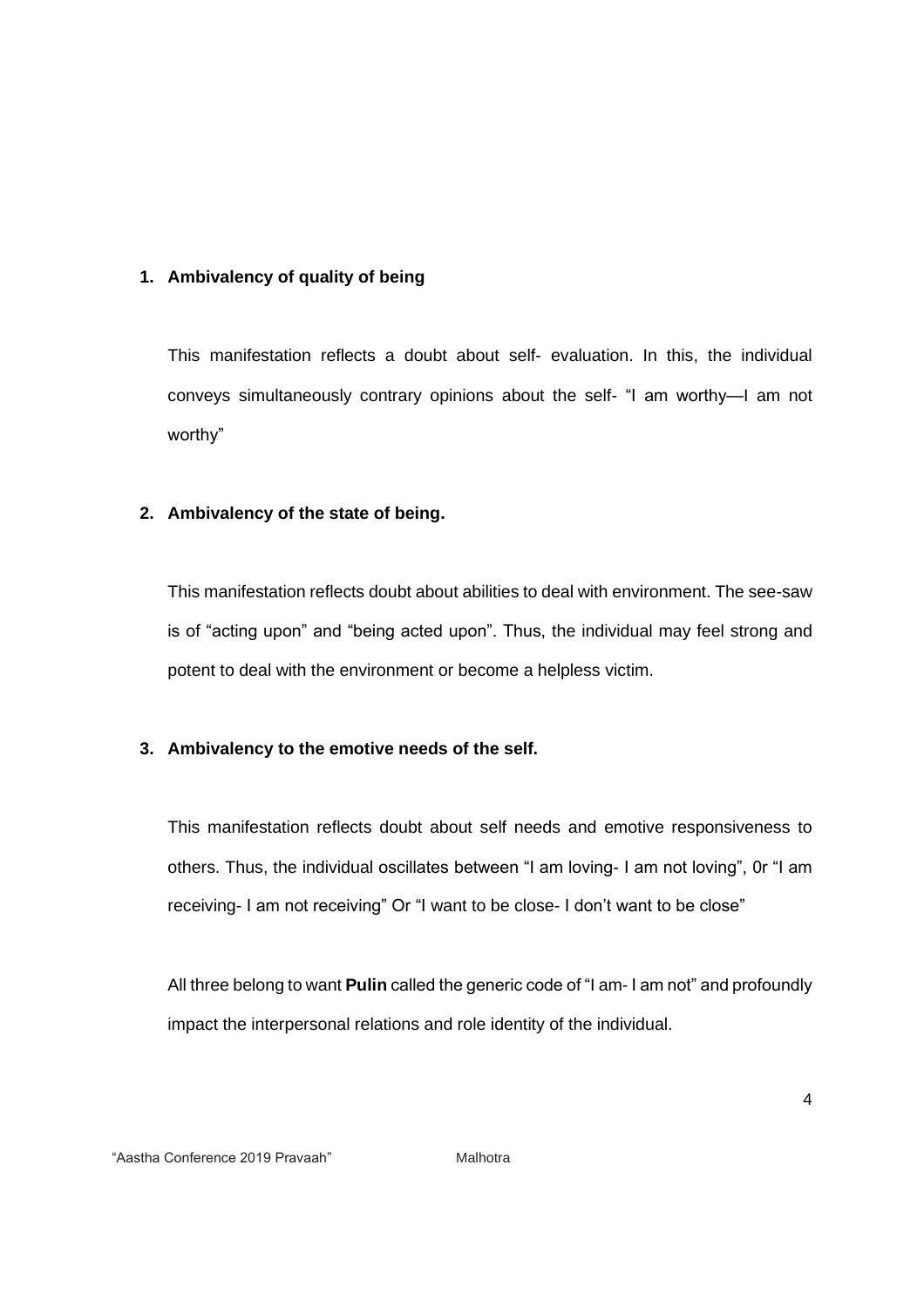## **1. Ambivalency of quality of being**

This manifestation reflects a doubt about self- evaluation. In this, the individual conveys simultaneously contrary opinions about the self- "I am worthy—I am not worthy"

# **2. Ambivalency of the state of being.**

This manifestation reflects doubt about abilities to deal with environment. The see-saw is of "acting upon" and "being acted upon". Thus, the individual may feel strong and potent to deal with the environment or become a helpless victim.

## **3. Ambivalency to the emotive needs of the self.**

This manifestation reflects doubt about self needs and emotive responsiveness to others. Thus, the individual oscillates between "I am loving- I am not loving", 0r "I am receiving- I am not receiving" Or "I want to be close- I don't want to be close"

All three belong to want **Pulin** called the generic code of "I am- I am not" and profoundly impact the interpersonal relations and role identity of the individual.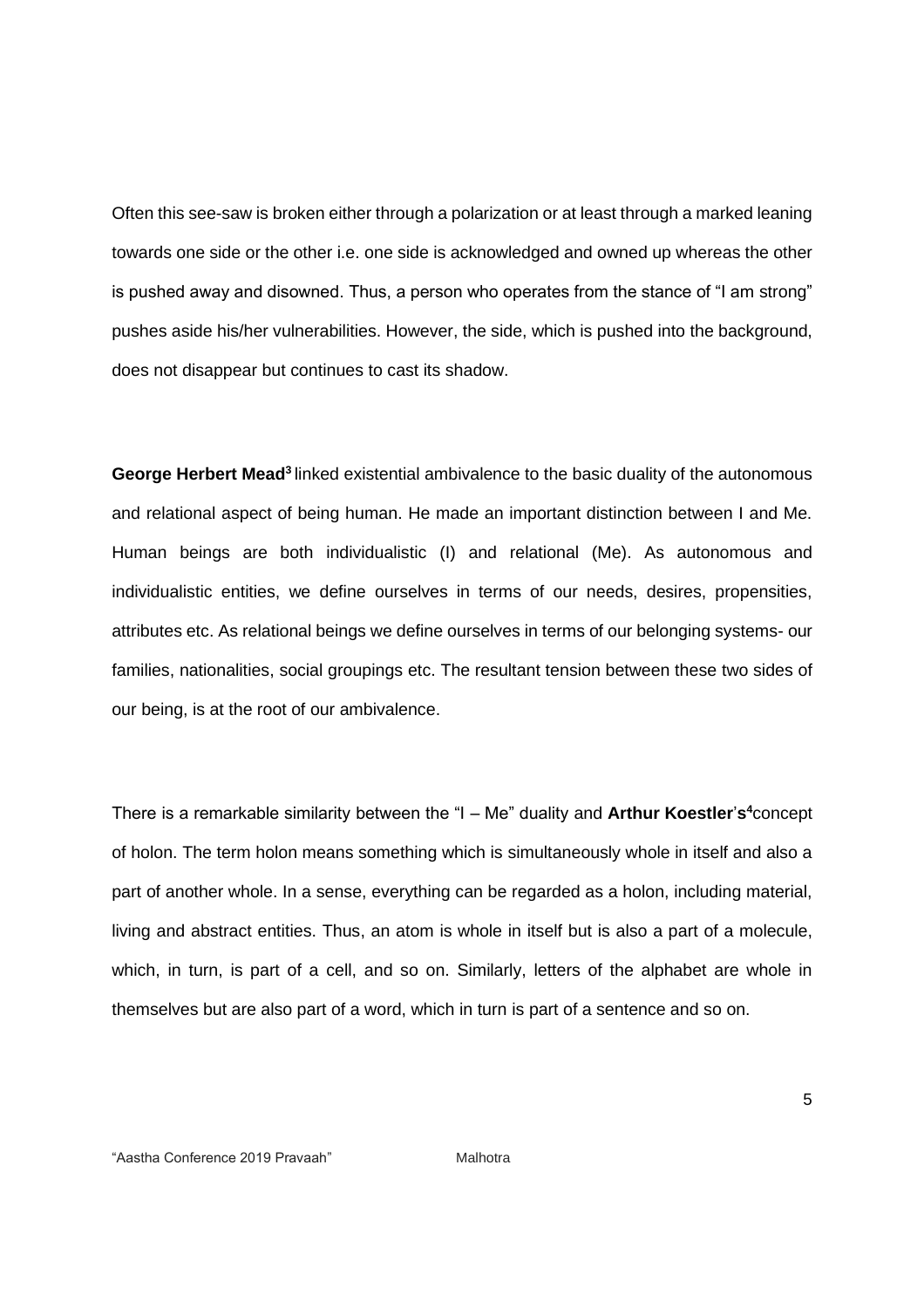Often this see-saw is broken either through a polarization or at least through a marked leaning towards one side or the other i.e. one side is acknowledged and owned up whereas the other is pushed away and disowned. Thus, a person who operates from the stance of "I am strong" pushes aside his/her vulnerabilities. However, the side, which is pushed into the background, does not disappear but continues to cast its shadow.

**George Herbert Mead<sup>3</sup>**linked existential ambivalence to the basic duality of the autonomous and relational aspect of being human. He made an important distinction between I and Me. Human beings are both individualistic (I) and relational (Me). As autonomous and individualistic entities, we define ourselves in terms of our needs, desires, propensities, attributes etc. As relational beings we define ourselves in terms of our belonging systems- our families, nationalities, social groupings etc. The resultant tension between these two sides of our being, is at the root of our ambivalence.

There is a remarkable similarity between the "I – Me" duality and **Arthur Koestler**'**s <sup>4</sup>**concept of holon. The term holon means something which is simultaneously whole in itself and also a part of another whole. In a sense, everything can be regarded as a holon, including material, living and abstract entities. Thus, an atom is whole in itself but is also a part of a molecule, which, in turn, is part of a cell, and so on. Similarly, letters of the alphabet are whole in themselves but are also part of a word, which in turn is part of a sentence and so on.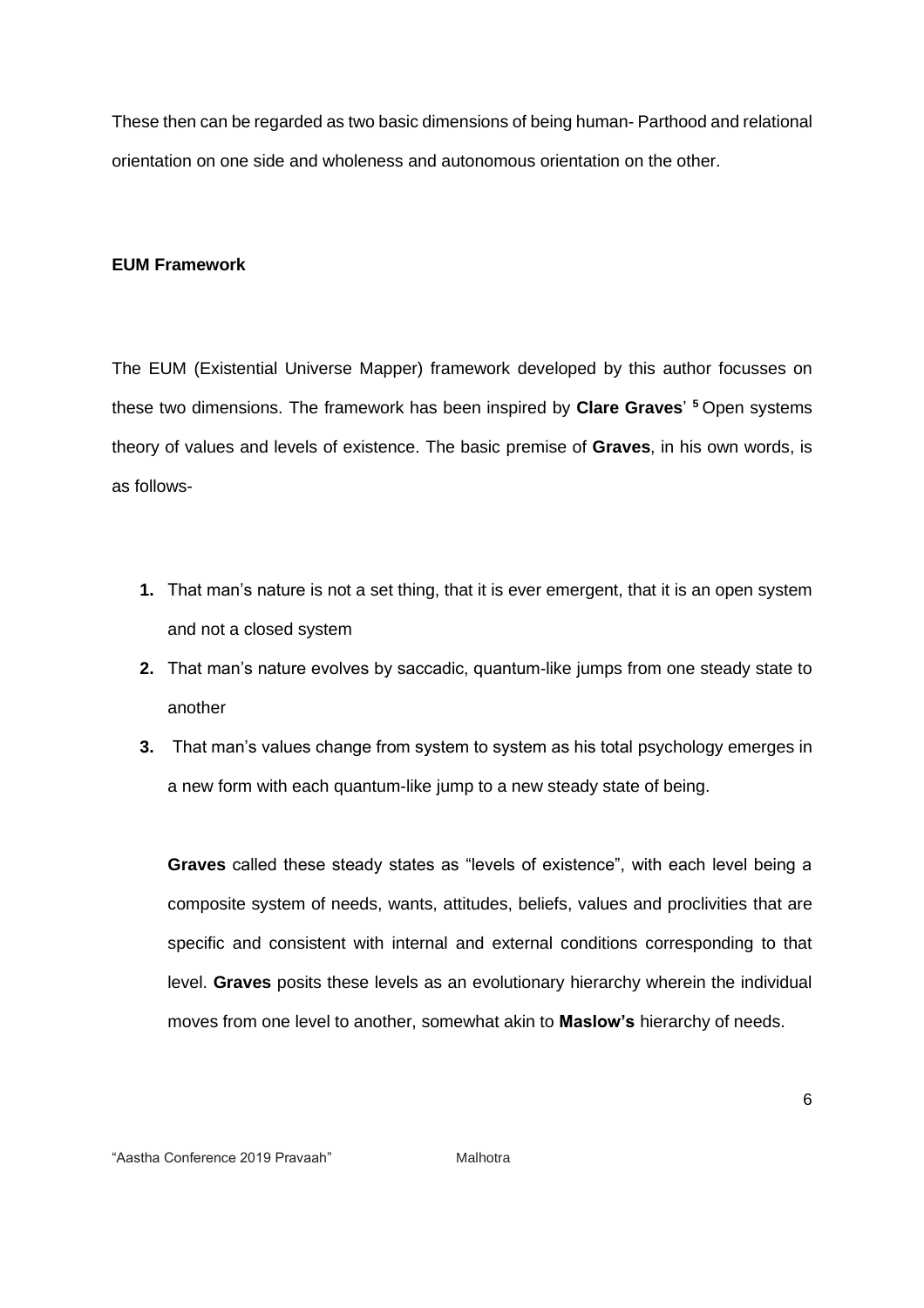These then can be regarded as two basic dimensions of being human- Parthood and relational orientation on one side and wholeness and autonomous orientation on the other.

#### **EUM Framework**

The EUM (Existential Universe Mapper) framework developed by this author focusses on these two dimensions. The framework has been inspired by **Clare Graves**' **<sup>5</sup>**Open systems theory of values and levels of existence. The basic premise of **Graves**, in his own words, is as follows-

- **1.** That man's nature is not a set thing, that it is ever emergent, that it is an open system and not a closed system
- **2.** That man's nature evolves by saccadic, quantum-like jumps from one steady state to another
- **3.** That man's values change from system to system as his total psychology emerges in a new form with each quantum-like jump to a new steady state of being.

**Graves** called these steady states as "levels of existence", with each level being a composite system of needs, wants, attitudes, beliefs, values and proclivities that are specific and consistent with internal and external conditions corresponding to that level. **Graves** posits these levels as an evolutionary hierarchy wherein the individual moves from one level to another, somewhat akin to **Maslow's** hierarchy of needs.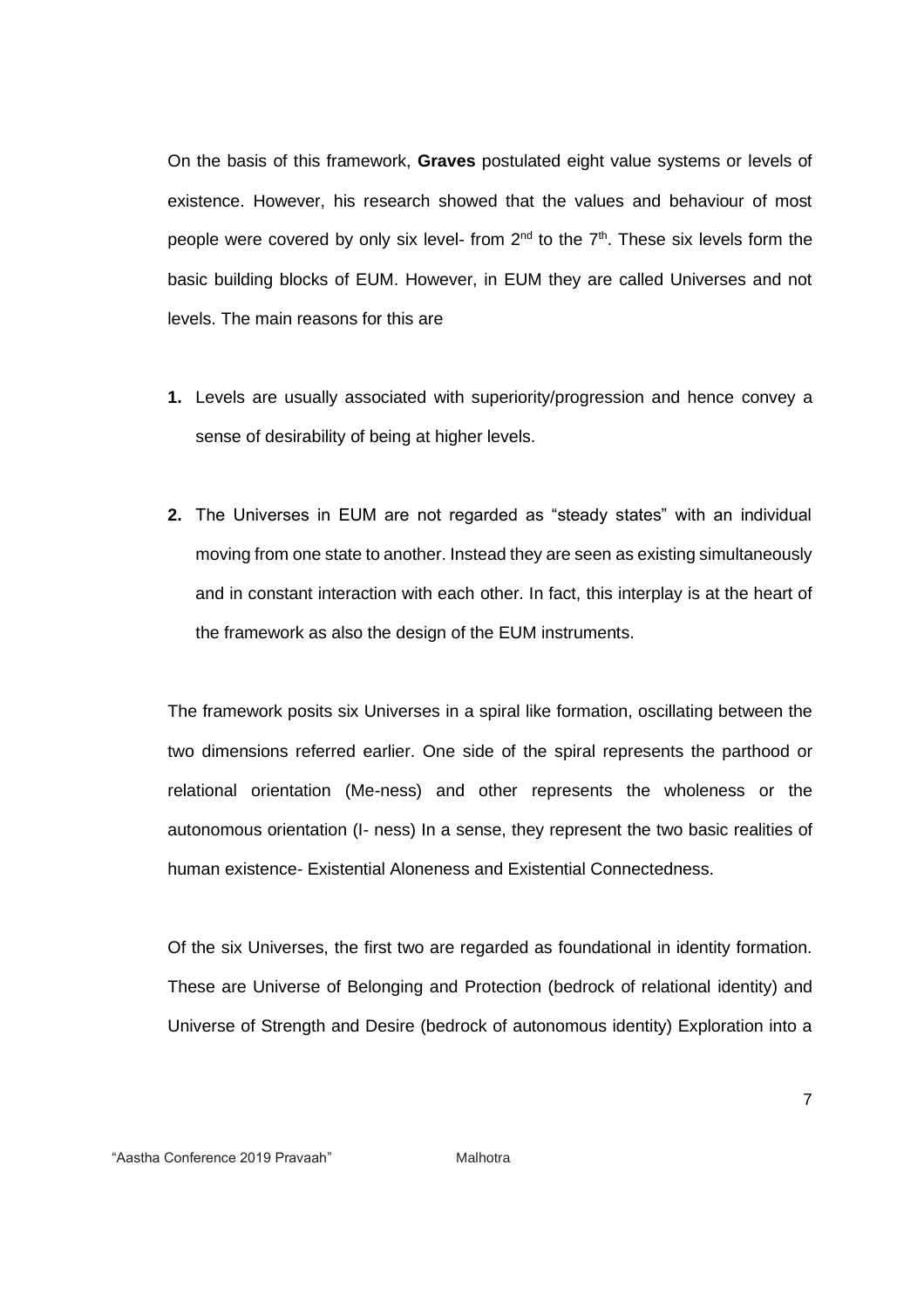On the basis of this framework, **Graves** postulated eight value systems or levels of existence. However, his research showed that the values and behaviour of most people were covered by only six level- from 2<sup>nd</sup> to the 7<sup>th</sup>. These six levels form the basic building blocks of EUM. However, in EUM they are called Universes and not levels. The main reasons for this are

- **1.** Levels are usually associated with superiority/progression and hence convey a sense of desirability of being at higher levels.
- **2.** The Universes in EUM are not regarded as "steady states" with an individual moving from one state to another. Instead they are seen as existing simultaneously and in constant interaction with each other. In fact, this interplay is at the heart of the framework as also the design of the EUM instruments.

The framework posits six Universes in a spiral like formation, oscillating between the two dimensions referred earlier. One side of the spiral represents the parthood or relational orientation (Me-ness) and other represents the wholeness or the autonomous orientation (I- ness) In a sense, they represent the two basic realities of human existence- Existential Aloneness and Existential Connectedness.

Of the six Universes, the first two are regarded as foundational in identity formation. These are Universe of Belonging and Protection (bedrock of relational identity) and Universe of Strength and Desire (bedrock of autonomous identity) Exploration into a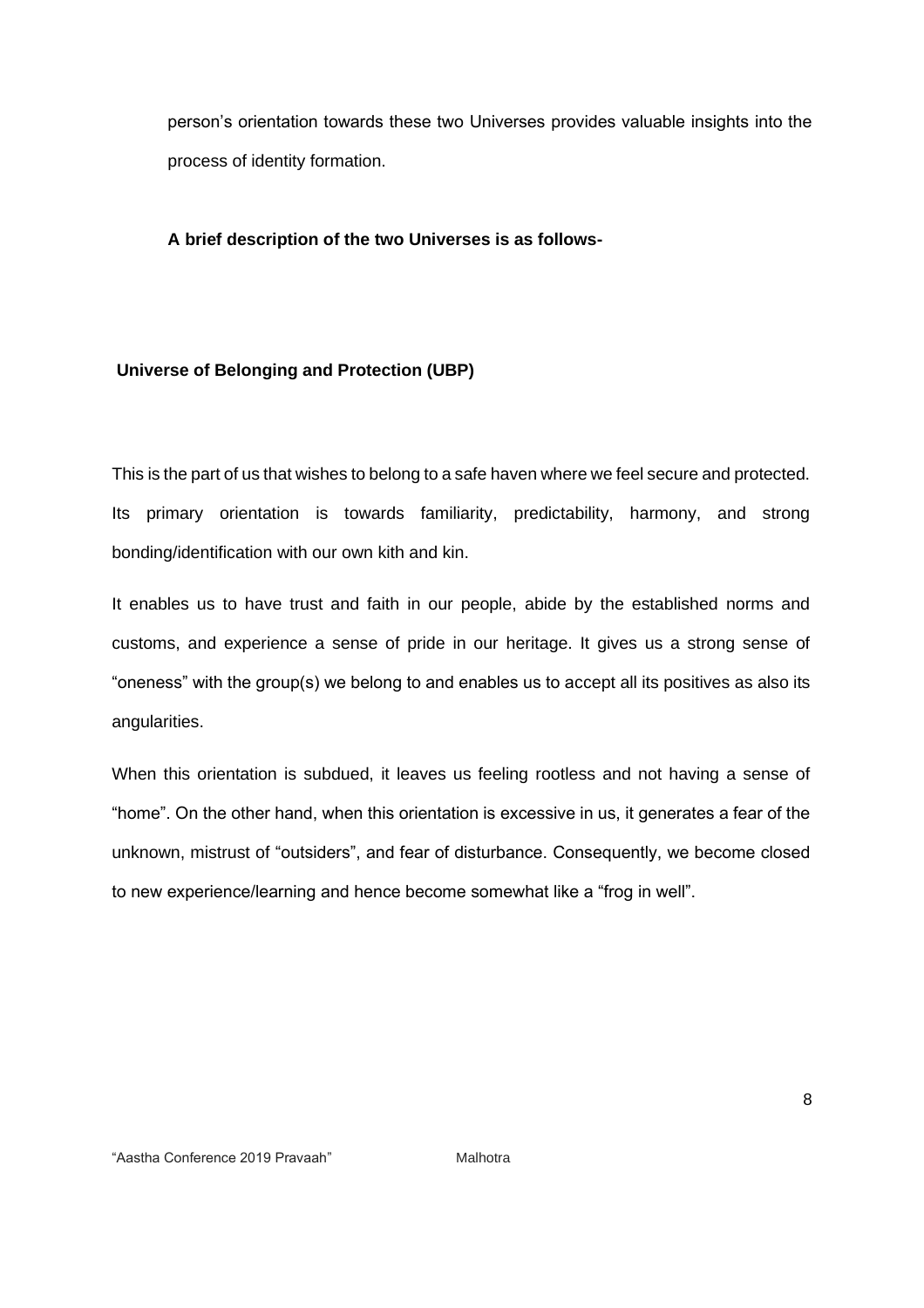person's orientation towards these two Universes provides valuable insights into the process of identity formation.

#### **A brief description of the two Universes is as follows-**

## **Universe of Belonging and Protection (UBP)**

This is the part of us that wishes to belong to a safe haven where we feel secure and protected. Its primary orientation is towards familiarity, predictability, harmony, and strong bonding/identification with our own kith and kin.

It enables us to have trust and faith in our people, abide by the established norms and customs, and experience a sense of pride in our heritage. It gives us a strong sense of "oneness" with the group(s) we belong to and enables us to accept all its positives as also its angularities.

When this orientation is subdued, it leaves us feeling rootless and not having a sense of "home". On the other hand, when this orientation is excessive in us, it generates a fear of the unknown, mistrust of "outsiders", and fear of disturbance. Consequently, we become closed to new experience/learning and hence become somewhat like a "frog in well".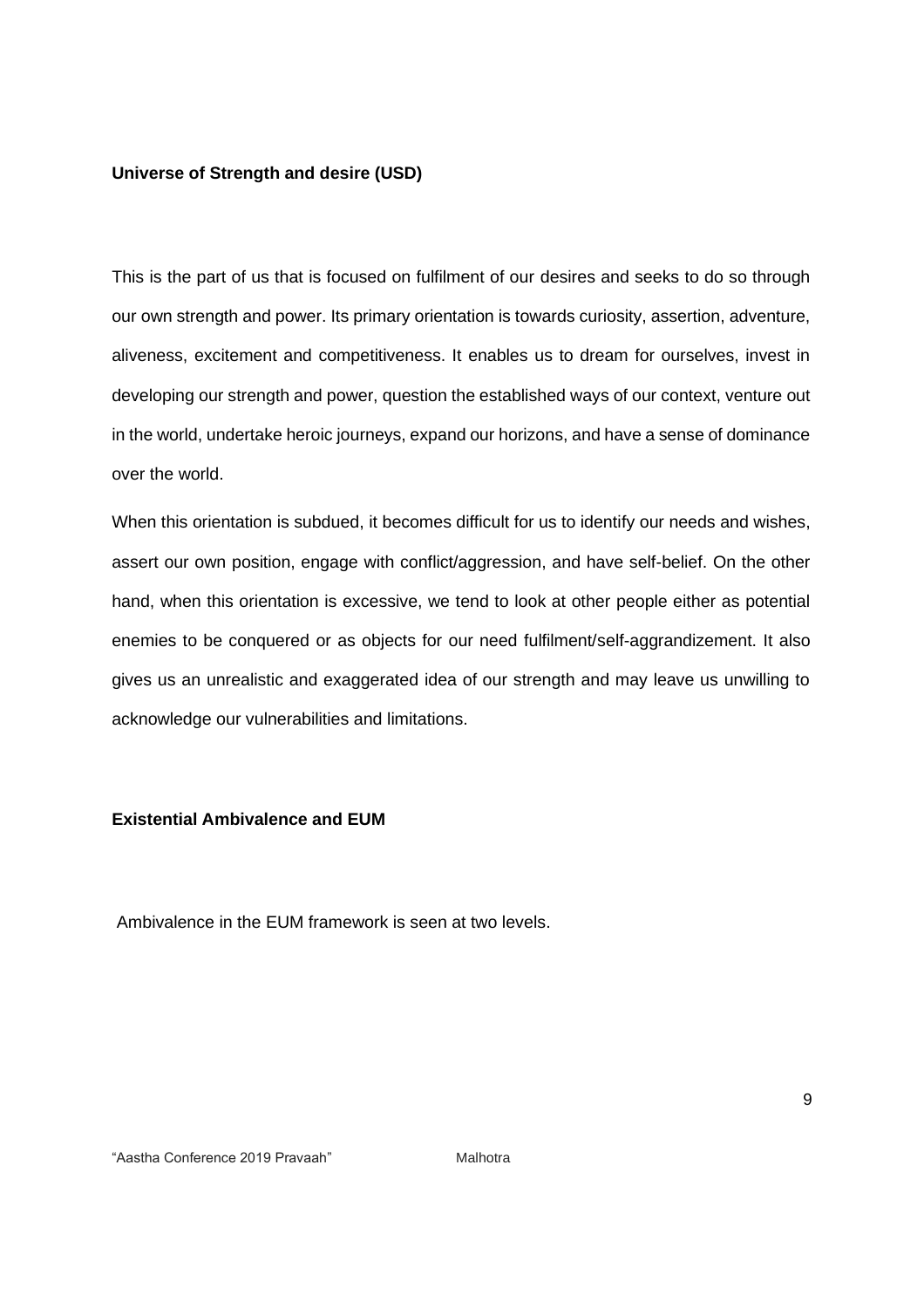#### **Universe of Strength and desire (USD)**

This is the part of us that is focused on fulfilment of our desires and seeks to do so through our own strength and power. Its primary orientation is towards curiosity, assertion, adventure, aliveness, excitement and competitiveness. It enables us to dream for ourselves, invest in developing our strength and power, question the established ways of our context, venture out in the world, undertake heroic journeys, expand our horizons, and have a sense of dominance over the world.

When this orientation is subdued, it becomes difficult for us to identify our needs and wishes, assert our own position, engage with conflict/aggression, and have self-belief. On the other hand, when this orientation is excessive, we tend to look at other people either as potential enemies to be conquered or as objects for our need fulfilment/self-aggrandizement. It also gives us an unrealistic and exaggerated idea of our strength and may leave us unwilling to acknowledge our vulnerabilities and limitations.

#### **Existential Ambivalence and EUM**

Ambivalence in the EUM framework is seen at two levels.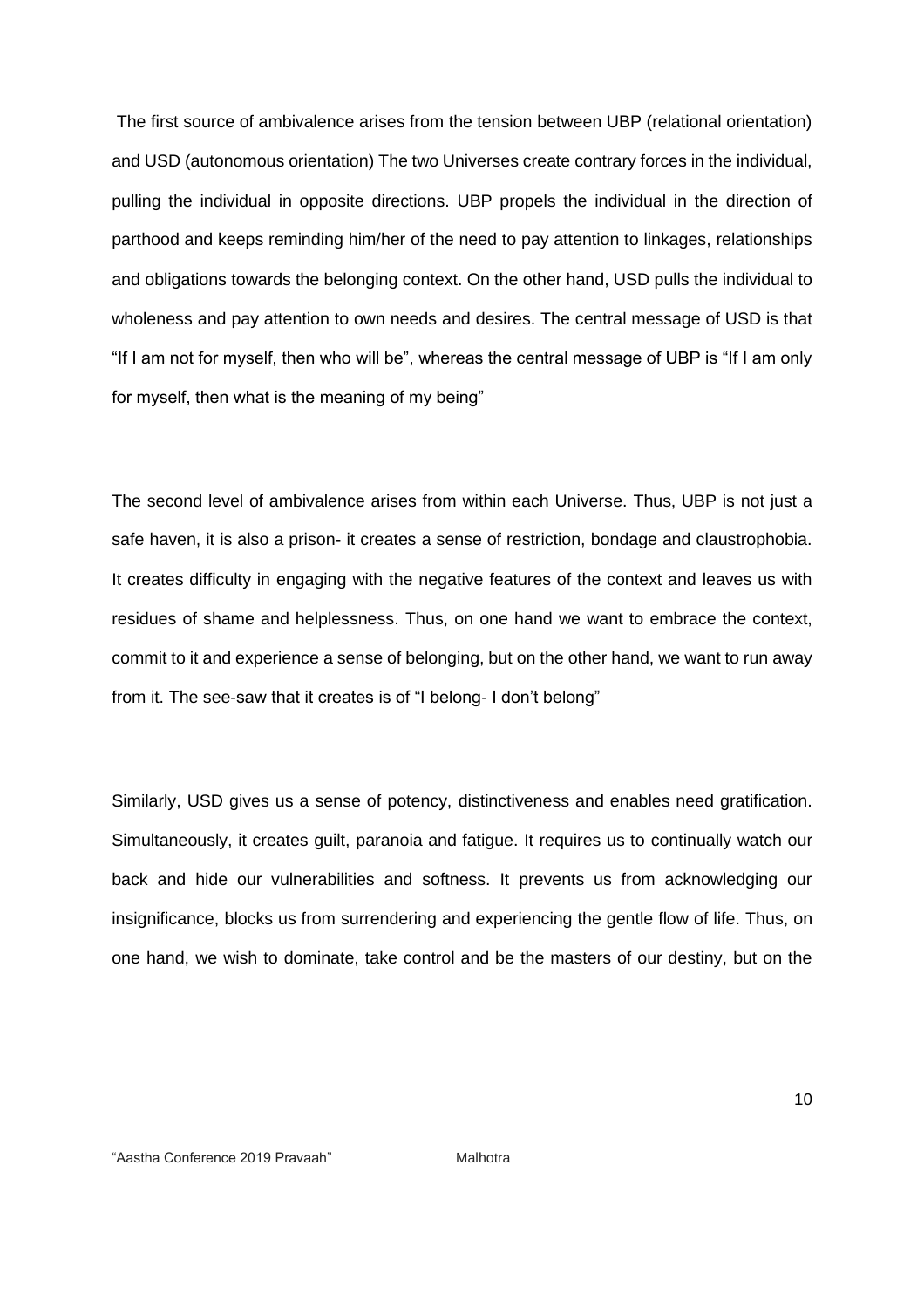The first source of ambivalence arises from the tension between UBP (relational orientation) and USD (autonomous orientation) The two Universes create contrary forces in the individual, pulling the individual in opposite directions. UBP propels the individual in the direction of parthood and keeps reminding him/her of the need to pay attention to linkages, relationships and obligations towards the belonging context. On the other hand, USD pulls the individual to wholeness and pay attention to own needs and desires. The central message of USD is that "If I am not for myself, then who will be", whereas the central message of UBP is "If I am only for myself, then what is the meaning of my being"

The second level of ambivalence arises from within each Universe. Thus, UBP is not just a safe haven, it is also a prison- it creates a sense of restriction, bondage and claustrophobia. It creates difficulty in engaging with the negative features of the context and leaves us with residues of shame and helplessness. Thus, on one hand we want to embrace the context, commit to it and experience a sense of belonging, but on the other hand, we want to run away from it. The see-saw that it creates is of "I belong- I don't belong"

Similarly, USD gives us a sense of potency, distinctiveness and enables need gratification. Simultaneously, it creates guilt, paranoia and fatigue. It requires us to continually watch our back and hide our vulnerabilities and softness. It prevents us from acknowledging our insignificance, blocks us from surrendering and experiencing the gentle flow of life. Thus, on one hand, we wish to dominate, take control and be the masters of our destiny, but on the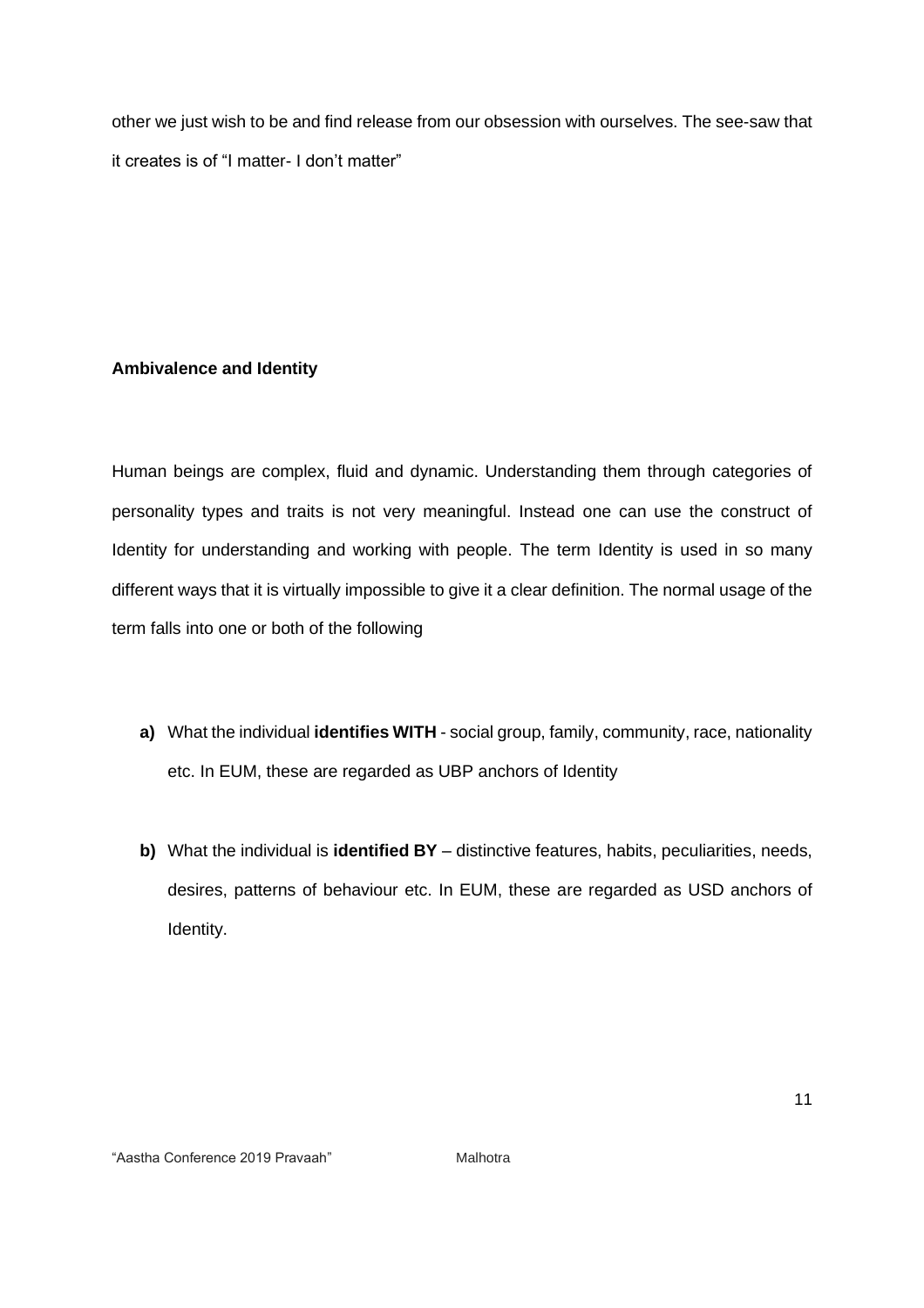other we just wish to be and find release from our obsession with ourselves. The see-saw that it creates is of "I matter- I don't matter"

# **Ambivalence and Identity**

Human beings are complex, fluid and dynamic. Understanding them through categories of personality types and traits is not very meaningful. Instead one can use the construct of Identity for understanding and working with people. The term Identity is used in so many different ways that it is virtually impossible to give it a clear definition. The normal usage of the term falls into one or both of the following

- **a)** What the individual **identifies WITH** social group, family, community, race, nationality etc. In EUM, these are regarded as UBP anchors of Identity
- **b)** What the individual is **identified BY** distinctive features, habits, peculiarities, needs, desires, patterns of behaviour etc. In EUM, these are regarded as USD anchors of Identity.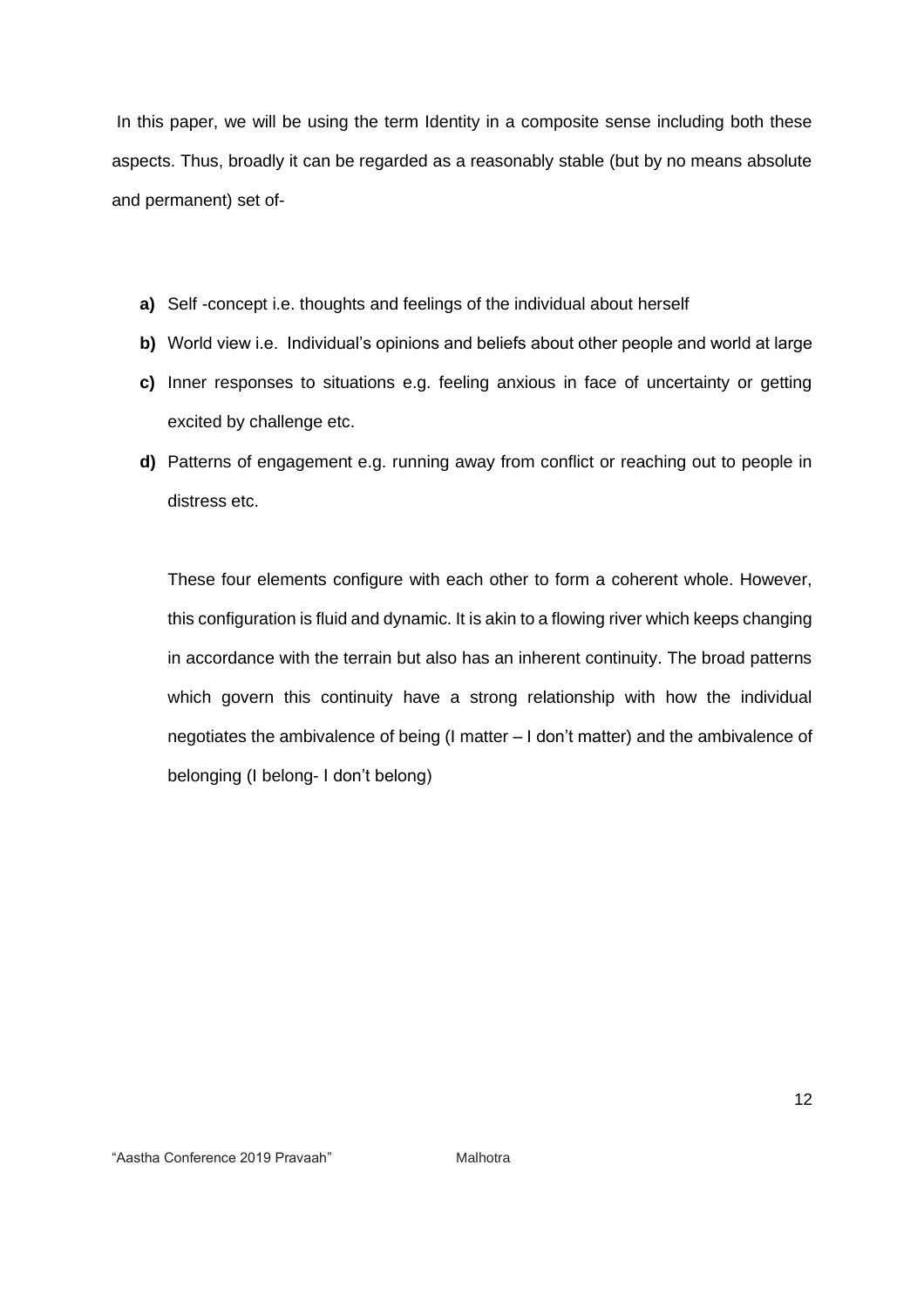In this paper, we will be using the term Identity in a composite sense including both these aspects. Thus, broadly it can be regarded as a reasonably stable (but by no means absolute and permanent) set of-

- **a)** Self -concept i.e. thoughts and feelings of the individual about herself
- **b)** World view i.e. Individual's opinions and beliefs about other people and world at large
- **c)** Inner responses to situations e.g. feeling anxious in face of uncertainty or getting excited by challenge etc.
- **d)** Patterns of engagement e.g. running away from conflict or reaching out to people in distress etc.

These four elements configure with each other to form a coherent whole. However, this configuration is fluid and dynamic. It is akin to a flowing river which keeps changing in accordance with the terrain but also has an inherent continuity. The broad patterns which govern this continuity have a strong relationship with how the individual negotiates the ambivalence of being (I matter – I don't matter) and the ambivalence of belonging (I belong- I don't belong)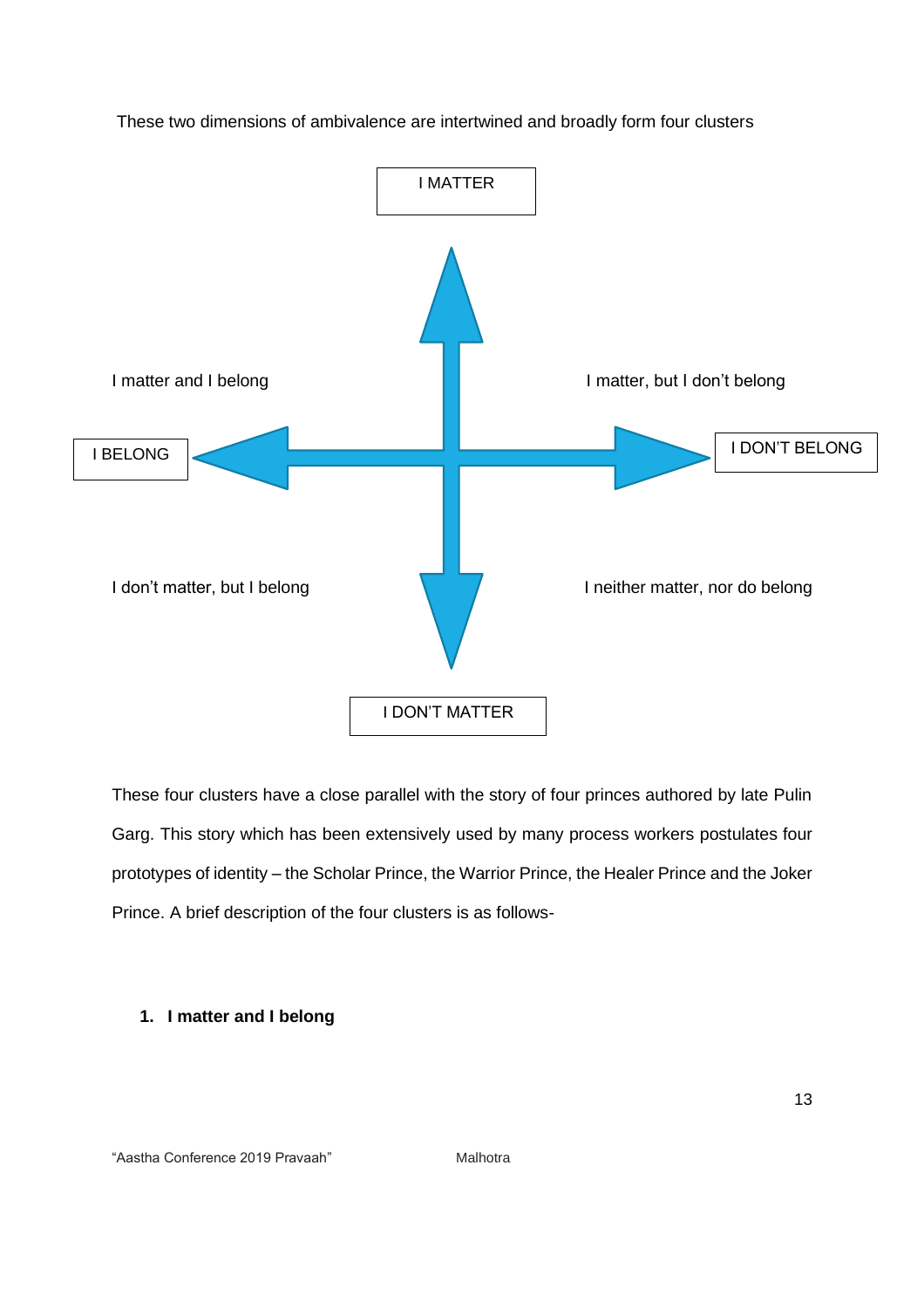

These two dimensions of ambivalence are intertwined and broadly form four clusters

These four clusters have a close parallel with the story of four princes authored by late Pulin Garg. This story which has been extensively used by many process workers postulates four prototypes of identity – the Scholar Prince, the Warrior Prince, the Healer Prince and the Joker Prince. A brief description of the four clusters is as follows-

## **1. I matter and I belong**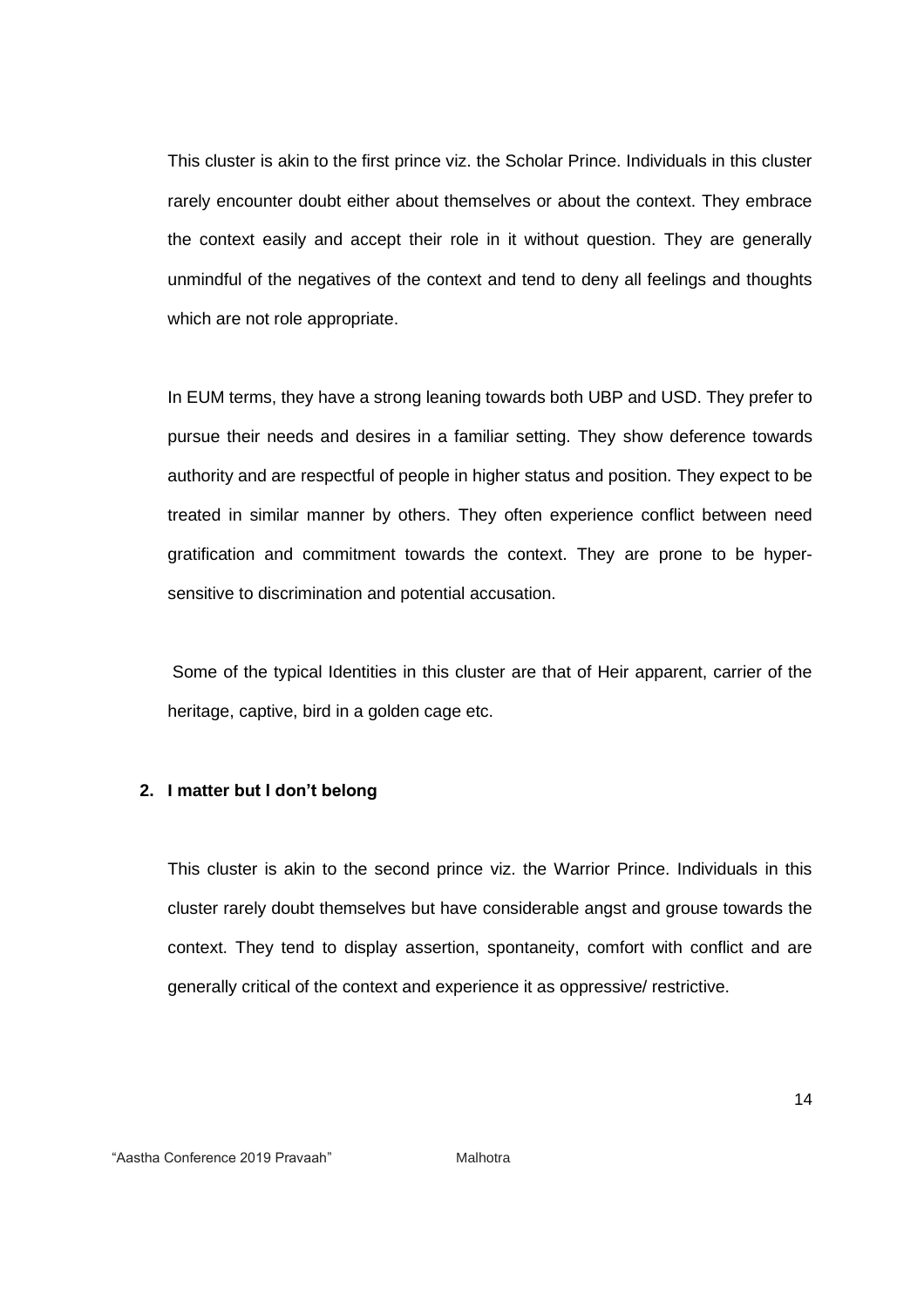This cluster is akin to the first prince viz. the Scholar Prince. Individuals in this cluster rarely encounter doubt either about themselves or about the context. They embrace the context easily and accept their role in it without question. They are generally unmindful of the negatives of the context and tend to deny all feelings and thoughts which are not role appropriate.

In EUM terms, they have a strong leaning towards both UBP and USD. They prefer to pursue their needs and desires in a familiar setting. They show deference towards authority and are respectful of people in higher status and position. They expect to be treated in similar manner by others. They often experience conflict between need gratification and commitment towards the context. They are prone to be hypersensitive to discrimination and potential accusation.

Some of the typical Identities in this cluster are that of Heir apparent, carrier of the heritage, captive, bird in a golden cage etc.

#### **2. I matter but I don't belong**

This cluster is akin to the second prince viz. the Warrior Prince. Individuals in this cluster rarely doubt themselves but have considerable angst and grouse towards the context. They tend to display assertion, spontaneity, comfort with conflict and are generally critical of the context and experience it as oppressive/ restrictive.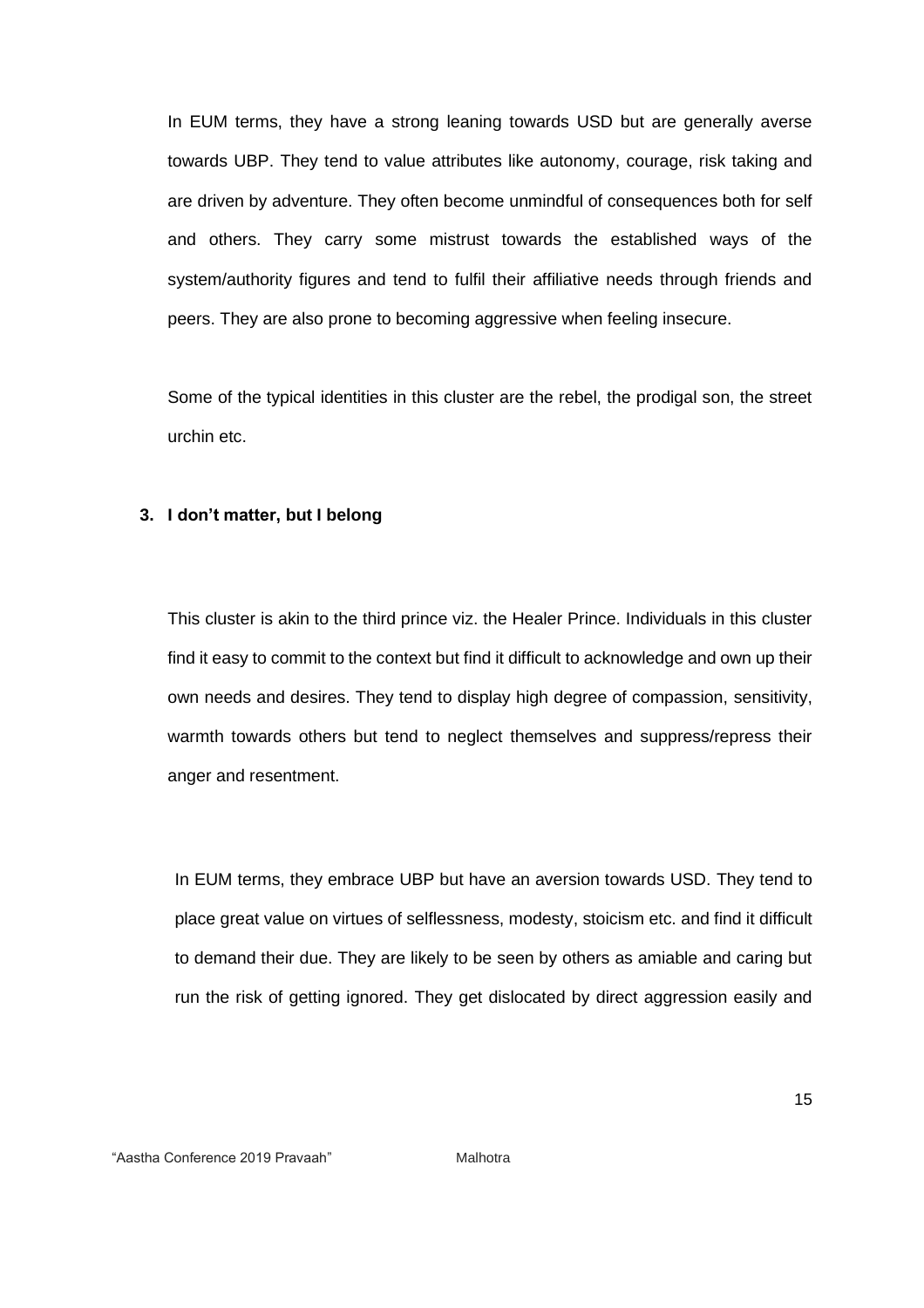In EUM terms, they have a strong leaning towards USD but are generally averse towards UBP. They tend to value attributes like autonomy, courage, risk taking and are driven by adventure. They often become unmindful of consequences both for self and others. They carry some mistrust towards the established ways of the system/authority figures and tend to fulfil their affiliative needs through friends and peers. They are also prone to becoming aggressive when feeling insecure.

Some of the typical identities in this cluster are the rebel, the prodigal son, the street urchin etc.

#### **3. I don't matter, but I belong**

This cluster is akin to the third prince viz. the Healer Prince. Individuals in this cluster find it easy to commit to the context but find it difficult to acknowledge and own up their own needs and desires. They tend to display high degree of compassion, sensitivity, warmth towards others but tend to neglect themselves and suppress/repress their anger and resentment.

In EUM terms, they embrace UBP but have an aversion towards USD. They tend to place great value on virtues of selflessness, modesty, stoicism etc. and find it difficult to demand their due. They are likely to be seen by others as amiable and caring but run the risk of getting ignored. They get dislocated by direct aggression easily and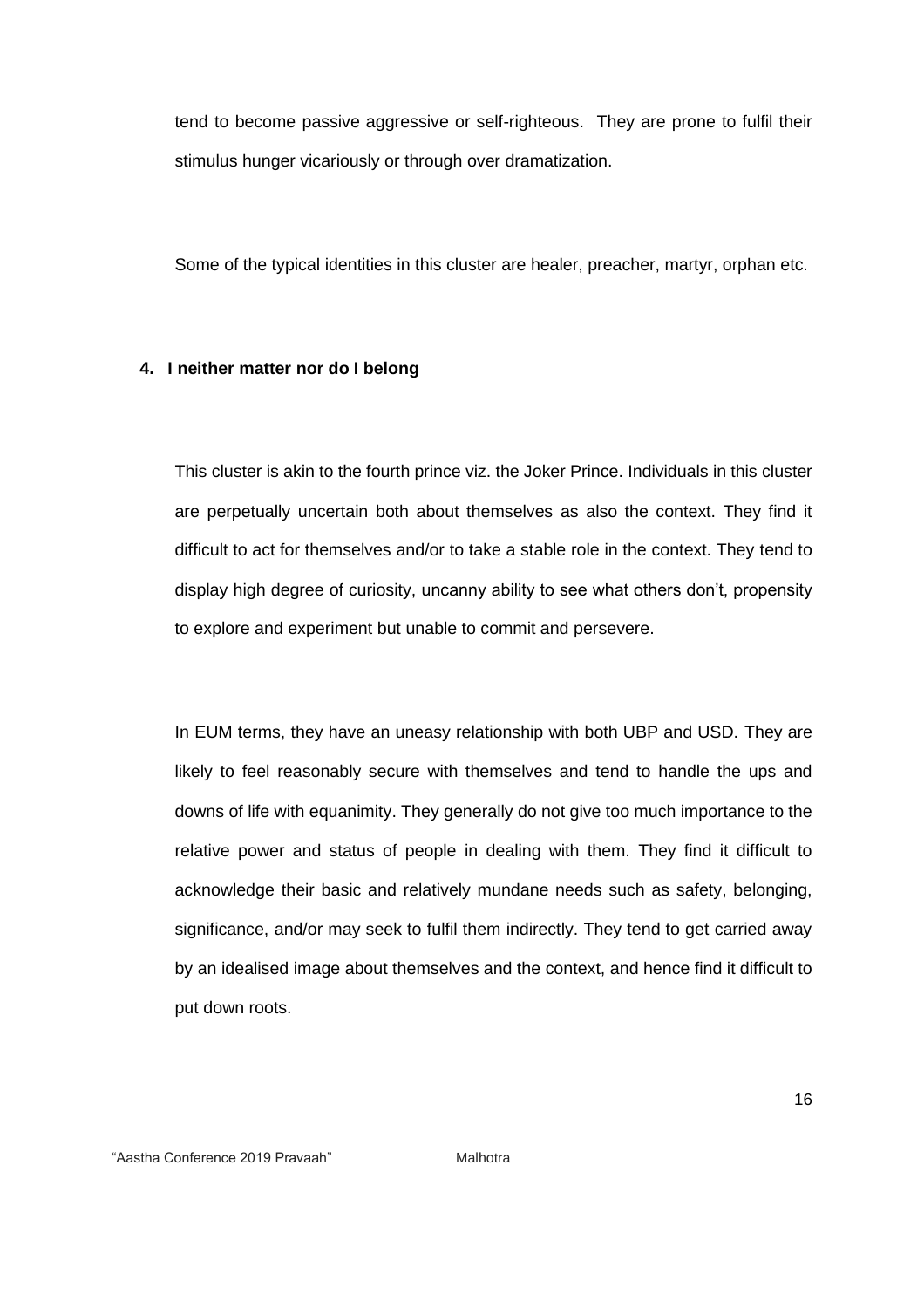tend to become passive aggressive or self-righteous. They are prone to fulfil their stimulus hunger vicariously or through over dramatization.

Some of the typical identities in this cluster are healer, preacher, martyr, orphan etc.

#### **4. I neither matter nor do I belong**

This cluster is akin to the fourth prince viz. the Joker Prince. Individuals in this cluster are perpetually uncertain both about themselves as also the context. They find it difficult to act for themselves and/or to take a stable role in the context. They tend to display high degree of curiosity, uncanny ability to see what others don't, propensity to explore and experiment but unable to commit and persevere.

In EUM terms, they have an uneasy relationship with both UBP and USD. They are likely to feel reasonably secure with themselves and tend to handle the ups and downs of life with equanimity. They generally do not give too much importance to the relative power and status of people in dealing with them. They find it difficult to acknowledge their basic and relatively mundane needs such as safety, belonging, significance, and/or may seek to fulfil them indirectly. They tend to get carried away by an idealised image about themselves and the context, and hence find it difficult to put down roots.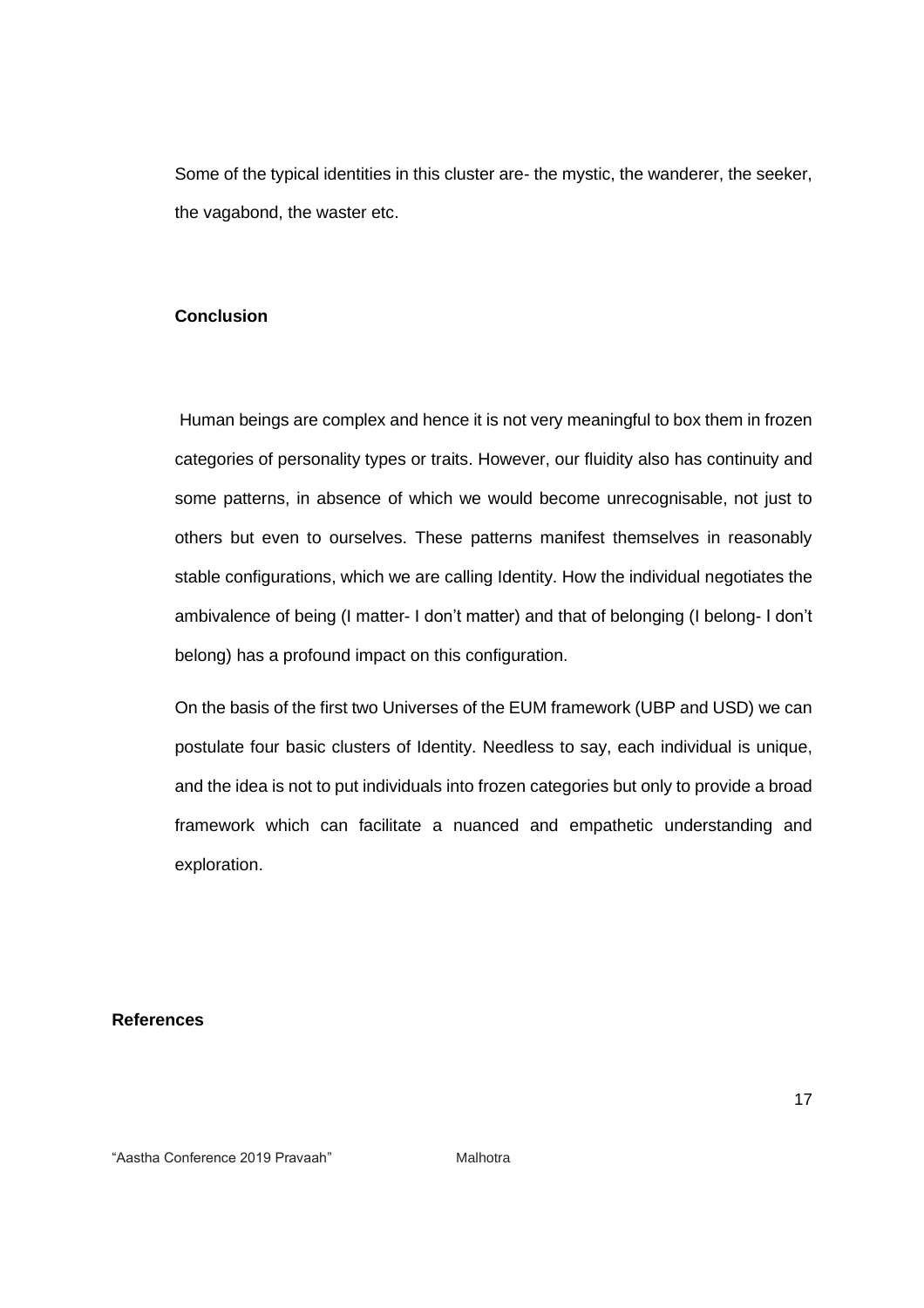Some of the typical identities in this cluster are- the mystic, the wanderer, the seeker, the vagabond, the waster etc.

#### **Conclusion**

Human beings are complex and hence it is not very meaningful to box them in frozen categories of personality types or traits. However, our fluidity also has continuity and some patterns, in absence of which we would become unrecognisable, not just to others but even to ourselves. These patterns manifest themselves in reasonably stable configurations, which we are calling Identity. How the individual negotiates the ambivalence of being (I matter- I don't matter) and that of belonging (I belong- I don't belong) has a profound impact on this configuration.

On the basis of the first two Universes of the EUM framework (UBP and USD) we can postulate four basic clusters of Identity. Needless to say, each individual is unique, and the idea is not to put individuals into frozen categories but only to provide a broad framework which can facilitate a nuanced and empathetic understanding and exploration.

**References** 

"Aastha Conference 2019 Pravaah" Malhotra

17